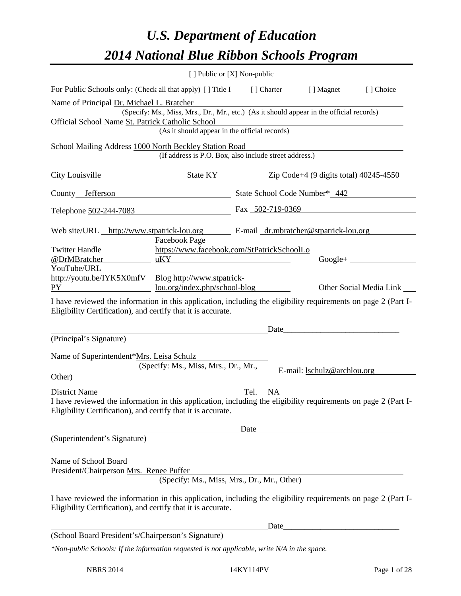# *U.S. Department of Education 2014 National Blue Ribbon Schools Program*

|                                                                                                                                                                                                                                                   | [ ] Public or [X] Non-public                                                                                                              |         |                                    |                         |
|---------------------------------------------------------------------------------------------------------------------------------------------------------------------------------------------------------------------------------------------------|-------------------------------------------------------------------------------------------------------------------------------------------|---------|------------------------------------|-------------------------|
| For Public Schools only: (Check all that apply) [] Title I [] Charter [] Magnet                                                                                                                                                                   |                                                                                                                                           |         |                                    | [] Choice               |
| Name of Principal Dr. Michael L. Bratcher<br>Official School Name St. Patrick Catholic School                                                                                                                                                     | (Specify: Ms., Miss, Mrs., Dr., Mr., etc.) (As it should appear in the official records)<br>(As it should appear in the official records) |         |                                    |                         |
| School Mailing Address 1000 North Beckley Station Road                                                                                                                                                                                            | (If address is P.O. Box, also include street address.)                                                                                    |         |                                    |                         |
| City Louisville State KY State KY 2ip Code+4 (9 digits total) 40245-4550                                                                                                                                                                          |                                                                                                                                           |         |                                    |                         |
| County Jefferson State School Code Number* 442                                                                                                                                                                                                    |                                                                                                                                           |         |                                    |                         |
| Telephone 502-244-7083 Fax 502-719-0369                                                                                                                                                                                                           |                                                                                                                                           |         |                                    |                         |
| Web site/URL http://www.stpatrick-lou.org E-mail dr.mbratcher@stpatrick-lou.org<br><b>Twitter Handle</b><br>@DrMBratcher                                                                                                                          | <b>Facebook Page</b><br>https://www.facebook.com/StPatrickSchoolLo<br>uKY                                                                 |         |                                    |                         |
| YouTube/URL<br>http://youtu.be/IYK5X0mfV Blog http://www.stpatrick-<br>PY                                                                                                                                                                         | lou.org/index.php/school-blog                                                                                                             |         |                                    | Other Social Media Link |
| I have reviewed the information in this application, including the eligibility requirements on page 2 (Part I-<br>Eligibility Certification), and certify that it is accurate.<br>(Principal's Signature)                                         |                                                                                                                                           |         | Date                               |                         |
| Name of Superintendent*Mrs. Leisa Schulz<br>Other)                                                                                                                                                                                                | (Specify: Ms., Miss, Mrs., Dr., Mr.,                                                                                                      |         | E-mail: <b>lschulz@archlou.org</b> |                         |
| District Name<br>I have reviewed the information in this application, including the eligibility requirements on page 2 (Part I-<br>Eligibility Certification), and certify that it is accurate.                                                   |                                                                                                                                           | Tel. NA |                                    |                         |
| (Superintendent's Signature)                                                                                                                                                                                                                      |                                                                                                                                           | Date    |                                    |                         |
| Name of School Board<br>President/Chairperson Mrs. Renee Puffer<br>I have reviewed the information in this application, including the eligibility requirements on page 2 (Part I-<br>Eligibility Certification), and certify that it is accurate. | (Specify: Ms., Miss, Mrs., Dr., Mr., Other)                                                                                               |         |                                    |                         |
|                                                                                                                                                                                                                                                   |                                                                                                                                           |         |                                    |                         |
| (School Board President's/Chairperson's Signature)                                                                                                                                                                                                |                                                                                                                                           |         |                                    |                         |
| *Non-public Schools: If the information requested is not applicable, write N/A in the space.                                                                                                                                                      |                                                                                                                                           |         |                                    |                         |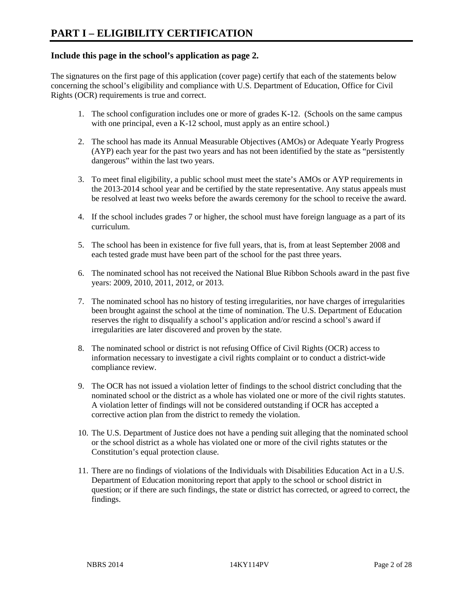## **Include this page in the school's application as page 2.**

The signatures on the first page of this application (cover page) certify that each of the statements below concerning the school's eligibility and compliance with U.S. Department of Education, Office for Civil Rights (OCR) requirements is true and correct.

- 1. The school configuration includes one or more of grades K-12. (Schools on the same campus with one principal, even a K-12 school, must apply as an entire school.)
- 2. The school has made its Annual Measurable Objectives (AMOs) or Adequate Yearly Progress (AYP) each year for the past two years and has not been identified by the state as "persistently dangerous" within the last two years.
- 3. To meet final eligibility, a public school must meet the state's AMOs or AYP requirements in the 2013-2014 school year and be certified by the state representative. Any status appeals must be resolved at least two weeks before the awards ceremony for the school to receive the award.
- 4. If the school includes grades 7 or higher, the school must have foreign language as a part of its curriculum.
- 5. The school has been in existence for five full years, that is, from at least September 2008 and each tested grade must have been part of the school for the past three years.
- 6. The nominated school has not received the National Blue Ribbon Schools award in the past five years: 2009, 2010, 2011, 2012, or 2013.
- 7. The nominated school has no history of testing irregularities, nor have charges of irregularities been brought against the school at the time of nomination. The U.S. Department of Education reserves the right to disqualify a school's application and/or rescind a school's award if irregularities are later discovered and proven by the state.
- 8. The nominated school or district is not refusing Office of Civil Rights (OCR) access to information necessary to investigate a civil rights complaint or to conduct a district-wide compliance review.
- 9. The OCR has not issued a violation letter of findings to the school district concluding that the nominated school or the district as a whole has violated one or more of the civil rights statutes. A violation letter of findings will not be considered outstanding if OCR has accepted a corrective action plan from the district to remedy the violation.
- 10. The U.S. Department of Justice does not have a pending suit alleging that the nominated school or the school district as a whole has violated one or more of the civil rights statutes or the Constitution's equal protection clause.
- 11. There are no findings of violations of the Individuals with Disabilities Education Act in a U.S. Department of Education monitoring report that apply to the school or school district in question; or if there are such findings, the state or district has corrected, or agreed to correct, the findings.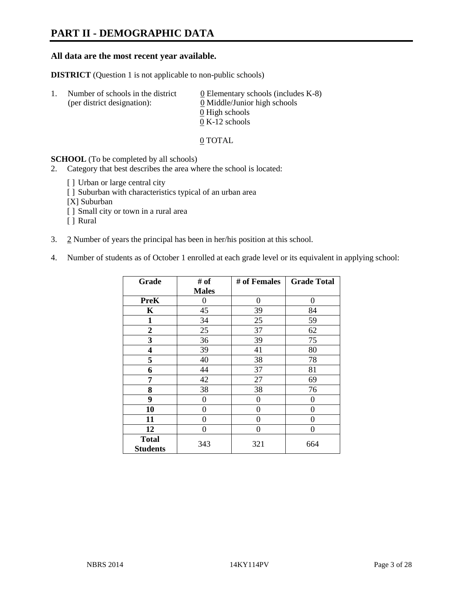# **PART II - DEMOGRAPHIC DATA**

#### **All data are the most recent year available.**

**DISTRICT** (Question 1 is not applicable to non-public schools)

| -1. | Number of schools in the district<br>(per district designation): | 0 Elementary schools (includes $K-8$ )<br>0 Middle/Junior high schools |  |  |
|-----|------------------------------------------------------------------|------------------------------------------------------------------------|--|--|
|     |                                                                  | 0 High schools                                                         |  |  |
|     |                                                                  | $0 K-12$ schools                                                       |  |  |

#### 0 TOTAL

#### **SCHOOL** (To be completed by all schools)

- 2. Category that best describes the area where the school is located:
	- [] Urban or large central city
	- [] Suburban with characteristics typical of an urban area
	- [X] Suburban
	- [ ] Small city or town in a rural area
	- [ ] Rural
- 3. 2 Number of years the principal has been in her/his position at this school.
- 4. Number of students as of October 1 enrolled at each grade level or its equivalent in applying school:

| Grade                           | # of         | # of Females | <b>Grade Total</b> |
|---------------------------------|--------------|--------------|--------------------|
|                                 | <b>Males</b> |              |                    |
| <b>PreK</b>                     | 0            | 0            | 0                  |
| K                               | 45           | 39           | 84                 |
| 1                               | 34           | 25           | 59                 |
| $\overline{2}$                  | 25           | 37           | 62                 |
| 3                               | 36           | 39           | 75                 |
| 4                               | 39           | 41           | 80                 |
| 5                               | 40           | 38           | 78                 |
| 6                               | 44           | 37           | 81                 |
| 7                               | 42           | 27           | 69                 |
| 8                               | 38           | 38           | 76                 |
| 9                               | 0            | 0            | 0                  |
| 10                              | 0            | 0            | 0                  |
| 11                              | $\theta$     | 0            | 0                  |
| 12                              | 0            | 0            | 0                  |
| <b>Total</b><br><b>Students</b> | 343          | 321          | 664                |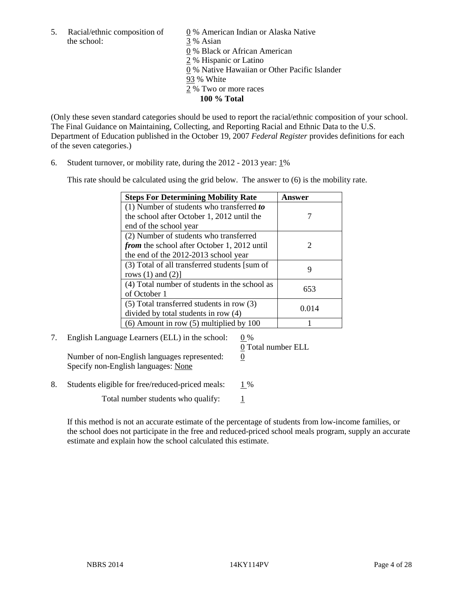5. Racial/ethnic composition of  $\qquad \qquad \underline{0}$  % American Indian or Alaska Native the school: 3 % Asian

 0 % Black or African American 2 % Hispanic or Latino 0 % Native Hawaiian or Other Pacific Islander 93 % White 2 % Two or more races **100 % Total** 

(Only these seven standard categories should be used to report the racial/ethnic composition of your school. The Final Guidance on Maintaining, Collecting, and Reporting Racial and Ethnic Data to the U.S. Department of Education published in the October 19, 2007 *Federal Register* provides definitions for each of the seven categories.)

6. Student turnover, or mobility rate, during the 2012 - 2013 year: 1%

This rate should be calculated using the grid below. The answer to (6) is the mobility rate.

| <b>Steps For Determining Mobility Rate</b>         | Answer                |
|----------------------------------------------------|-----------------------|
| $(1)$ Number of students who transferred to        |                       |
| the school after October 1, 2012 until the         |                       |
| end of the school year                             |                       |
| (2) Number of students who transferred             |                       |
| <i>from</i> the school after October 1, 2012 until | $\mathcal{D}_{\cdot}$ |
| the end of the 2012-2013 school year               |                       |
| (3) Total of all transferred students [sum of      | ӌ                     |
| rows $(1)$ and $(2)$ ]                             |                       |
| (4) Total number of students in the school as      | 653                   |
| of October 1                                       |                       |
| $(5)$ Total transferred students in row $(3)$      | 0.014                 |
| divided by total students in row (4)               |                       |
| $(6)$ Amount in row $(5)$ multiplied by 100        |                       |

7. English Language Learners (ELL) in the school: 0 %

Number of non-English languages represented: 0 Specify non-English languages: None

0 Total number ELL

8. Students eligible for free/reduced-priced meals:  $1\%$ 

Total number students who qualify:  $\frac{1}{1}$ 

If this method is not an accurate estimate of the percentage of students from low-income families, or the school does not participate in the free and reduced-priced school meals program, supply an accurate estimate and explain how the school calculated this estimate.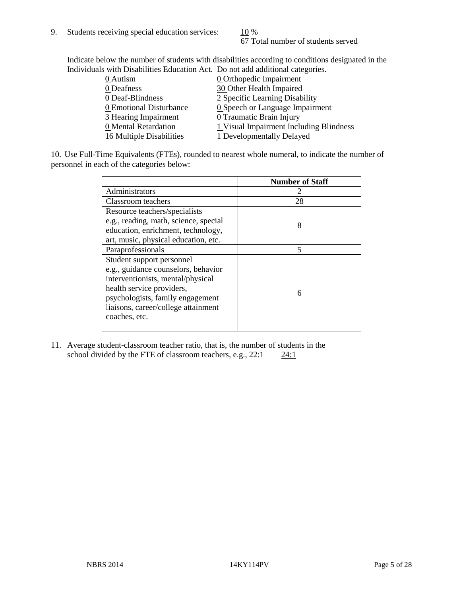67 Total number of students served

Indicate below the number of students with disabilities according to conditions designated in the Individuals with Disabilities Education Act. Do not add additional categories.

| murvidadis with Disabilities Equediton Fet. Do not agu aquitional categories. |                                         |
|-------------------------------------------------------------------------------|-----------------------------------------|
| 0 Autism                                                                      | <b>0</b> Orthopedic Impairment          |
| 0 Deafness                                                                    | 30 Other Health Impaired                |
| 0 Deaf-Blindness                                                              | 2 Specific Learning Disability          |
| 0 Emotional Disturbance                                                       | 0 Speech or Language Impairment         |
| 3 Hearing Impairment                                                          | 0 Traumatic Brain Injury                |
| 0 Mental Retardation                                                          | 1 Visual Impairment Including Blindness |
| 16 Multiple Disabilities                                                      | 1 Developmentally Delayed               |
|                                                                               |                                         |

10. Use Full-Time Equivalents (FTEs), rounded to nearest whole numeral, to indicate the number of personnel in each of the categories below:

|                                       | <b>Number of Staff</b> |
|---------------------------------------|------------------------|
| Administrators                        |                        |
| Classroom teachers                    | 28                     |
| Resource teachers/specialists         |                        |
| e.g., reading, math, science, special | 8                      |
| education, enrichment, technology,    |                        |
| art, music, physical education, etc.  |                        |
| Paraprofessionals                     | 5                      |
| Student support personnel             |                        |
| e.g., guidance counselors, behavior   |                        |
| interventionists, mental/physical     |                        |
| health service providers,             | 6                      |
| psychologists, family engagement      |                        |
| liaisons, career/college attainment   |                        |
| coaches, etc.                         |                        |
|                                       |                        |

11. Average student-classroom teacher ratio, that is, the number of students in the school divided by the FTE of classroom teachers, e.g.,  $22:1$   $24:1$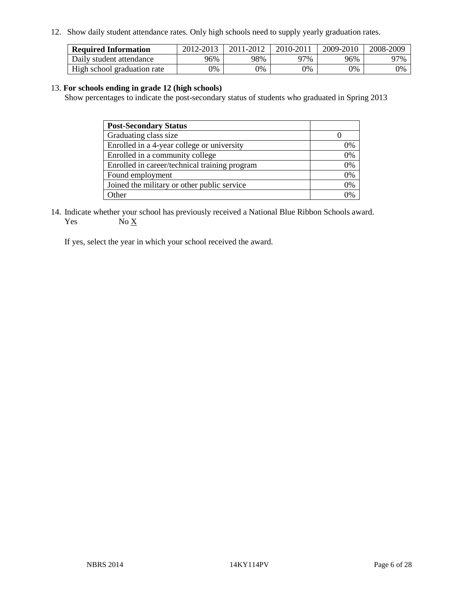12. Show daily student attendance rates. Only high schools need to supply yearly graduation rates.

| <b>Required Information</b> | 2012-2013 | 2011-2012 | 2010-2011 | 2009-2010 | 2008-2009 |
|-----------------------------|-----------|-----------|-----------|-----------|-----------|
| Daily student attendance    | 96%       | 98%       | 97%       | 96%       | 97%       |
| High school graduation rate | 9%        | 0%        | 0%        | 0%        | 0%        |

#### 13. **For schools ending in grade 12 (high schools)**

Show percentages to indicate the post-secondary status of students who graduated in Spring 2013

| <b>Post-Secondary Status</b>                  |    |
|-----------------------------------------------|----|
| Graduating class size                         |    |
| Enrolled in a 4-year college or university    | 0% |
| Enrolled in a community college               | 0% |
| Enrolled in career/technical training program | 0% |
| Found employment                              | 0% |
| Joined the military or other public service   | 0% |
| . Other                                       | 0/ |

14. Indicate whether your school has previously received a National Blue Ribbon Schools award. Yes  $No \underline{X}$ 

If yes, select the year in which your school received the award.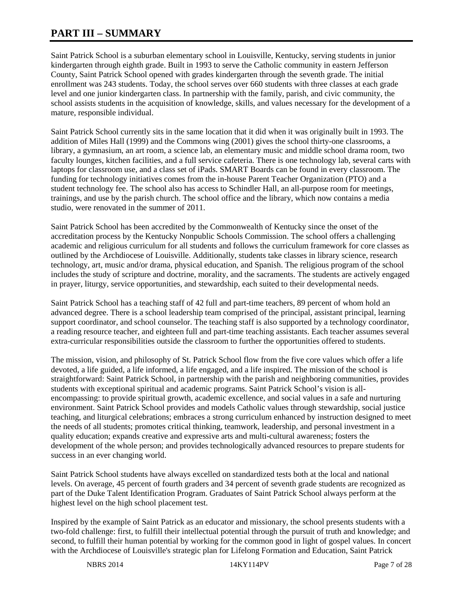# **PART III – SUMMARY**

Saint Patrick School is a suburban elementary school in Louisville, Kentucky, serving students in junior kindergarten through eighth grade. Built in 1993 to serve the Catholic community in eastern Jefferson County, Saint Patrick School opened with grades kindergarten through the seventh grade. The initial enrollment was 243 students. Today, the school serves over 660 students with three classes at each grade level and one junior kindergarten class. In partnership with the family, parish, and civic community, the school assists students in the acquisition of knowledge, skills, and values necessary for the development of a mature, responsible individual.

Saint Patrick School currently sits in the same location that it did when it was originally built in 1993. The addition of Miles Hall (1999) and the Commons wing (2001) gives the school thirty-one classrooms, a library, a gymnasium, an art room, a science lab, an elementary music and middle school drama room, two faculty lounges, kitchen facilities, and a full service cafeteria. There is one technology lab, several carts with laptops for classroom use, and a class set of iPads. SMART Boards can be found in every classroom. The funding for technology initiatives comes from the in-house Parent Teacher Organization (PTO) and a student technology fee. The school also has access to Schindler Hall, an all-purpose room for meetings, trainings, and use by the parish church. The school office and the library, which now contains a media studio, were renovated in the summer of 2011.

Saint Patrick School has been accredited by the Commonwealth of Kentucky since the onset of the accreditation process by the Kentucky Nonpublic Schools Commission. The school offers a challenging academic and religious curriculum for all students and follows the curriculum framework for core classes as outlined by the Archdiocese of Louisville. Additionally, students take classes in library science, research technology, art, music and/or drama, physical education, and Spanish. The religious program of the school includes the study of scripture and doctrine, morality, and the sacraments. The students are actively engaged in prayer, liturgy, service opportunities, and stewardship, each suited to their developmental needs.

Saint Patrick School has a teaching staff of 42 full and part-time teachers, 89 percent of whom hold an advanced degree. There is a school leadership team comprised of the principal, assistant principal, learning support coordinator, and school counselor. The teaching staff is also supported by a technology coordinator, a reading resource teacher, and eighteen full and part-time teaching assistants. Each teacher assumes several extra-curricular responsibilities outside the classroom to further the opportunities offered to students.

The mission, vision, and philosophy of St. Patrick School flow from the five core values which offer a life devoted, a life guided, a life informed, a life engaged, and a life inspired. The mission of the school is straightforward: Saint Patrick School, in partnership with the parish and neighboring communities, provides students with exceptional spiritual and academic programs. Saint Patrick School's vision is allencompassing: to provide spiritual growth, academic excellence, and social values in a safe and nurturing environment. Saint Patrick School provides and models Catholic values through stewardship, social justice teaching, and liturgical celebrations; embraces a strong curriculum enhanced by instruction designed to meet the needs of all students; promotes critical thinking, teamwork, leadership, and personal investment in a quality education; expands creative and expressive arts and multi-cultural awareness; fosters the development of the whole person; and provides technologically advanced resources to prepare students for success in an ever changing world.

Saint Patrick School students have always excelled on standardized tests both at the local and national levels. On average, 45 percent of fourth graders and 34 percent of seventh grade students are recognized as part of the Duke Talent Identification Program. Graduates of Saint Patrick School always perform at the highest level on the high school placement test.

Inspired by the example of Saint Patrick as an educator and missionary, the school presents students with a two-fold challenge: first, to fulfill their intellectual potential through the pursuit of truth and knowledge; and second, to fulfill their human potential by working for the common good in light of gospel values. In concert with the Archdiocese of Louisville's strategic plan for Lifelong Formation and Education, Saint Patrick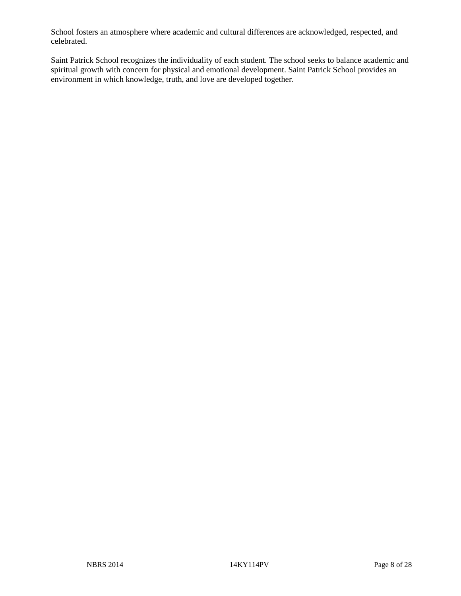School fosters an atmosphere where academic and cultural differences are acknowledged, respected, and celebrated.

Saint Patrick School recognizes the individuality of each student. The school seeks to balance academic and spiritual growth with concern for physical and emotional development. Saint Patrick School provides an environment in which knowledge, truth, and love are developed together.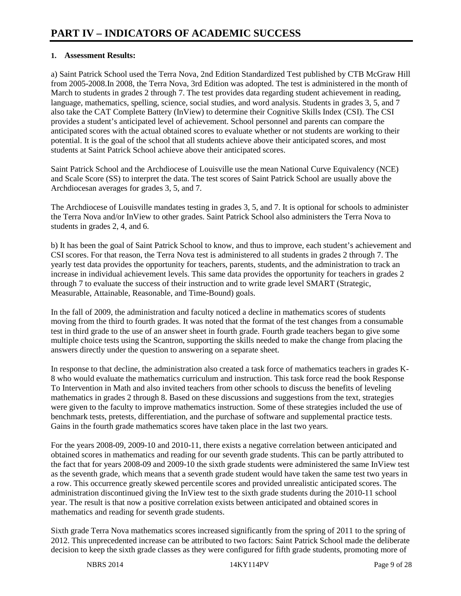#### **1. Assessment Results:**

a) Saint Patrick School used the Terra Nova, 2nd Edition Standardized Test published by CTB McGraw Hill from 2005-2008.In 2008, the Terra Nova, 3rd Edition was adopted. The test is administered in the month of March to students in grades 2 through 7. The test provides data regarding student achievement in reading, language, mathematics, spelling, science, social studies, and word analysis. Students in grades 3, 5, and 7 also take the CAT Complete Battery (InView) to determine their Cognitive Skills Index (CSI). The CSI provides a student's anticipated level of achievement. School personnel and parents can compare the anticipated scores with the actual obtained scores to evaluate whether or not students are working to their potential. It is the goal of the school that all students achieve above their anticipated scores, and most students at Saint Patrick School achieve above their anticipated scores.

Saint Patrick School and the Archdiocese of Louisville use the mean National Curve Equivalency (NCE) and Scale Score (SS) to interpret the data. The test scores of Saint Patrick School are usually above the Archdiocesan averages for grades 3, 5, and 7.

The Archdiocese of Louisville mandates testing in grades 3, 5, and 7. It is optional for schools to administer the Terra Nova and/or InView to other grades. Saint Patrick School also administers the Terra Nova to students in grades 2, 4, and 6.

b) It has been the goal of Saint Patrick School to know, and thus to improve, each student's achievement and CSI scores. For that reason, the Terra Nova test is administered to all students in grades 2 through 7. The yearly test data provides the opportunity for teachers, parents, students, and the administration to track an increase in individual achievement levels. This same data provides the opportunity for teachers in grades 2 through 7 to evaluate the success of their instruction and to write grade level SMART (Strategic, Measurable, Attainable, Reasonable, and Time-Bound) goals.

In the fall of 2009, the administration and faculty noticed a decline in mathematics scores of students moving from the third to fourth grades. It was noted that the format of the test changes from a consumable test in third grade to the use of an answer sheet in fourth grade. Fourth grade teachers began to give some multiple choice tests using the Scantron, supporting the skills needed to make the change from placing the answers directly under the question to answering on a separate sheet.

In response to that decline, the administration also created a task force of mathematics teachers in grades K-8 who would evaluate the mathematics curriculum and instruction. This task force read the book Response To Intervention in Math and also invited teachers from other schools to discuss the benefits of leveling mathematics in grades 2 through 8. Based on these discussions and suggestions from the text, strategies were given to the faculty to improve mathematics instruction. Some of these strategies included the use of benchmark tests, pretests, differentiation, and the purchase of software and supplemental practice tests. Gains in the fourth grade mathematics scores have taken place in the last two years.

For the years 2008-09, 2009-10 and 2010-11, there exists a negative correlation between anticipated and obtained scores in mathematics and reading for our seventh grade students. This can be partly attributed to the fact that for years 2008-09 and 2009-10 the sixth grade students were administered the same InView test as the seventh grade, which means that a seventh grade student would have taken the same test two years in a row. This occurrence greatly skewed percentile scores and provided unrealistic anticipated scores. The administration discontinued giving the InView test to the sixth grade students during the 2010-11 school year. The result is that now a positive correlation exists between anticipated and obtained scores in mathematics and reading for seventh grade students.

Sixth grade Terra Nova mathematics scores increased significantly from the spring of 2011 to the spring of 2012. This unprecedented increase can be attributed to two factors: Saint Patrick School made the deliberate decision to keep the sixth grade classes as they were configured for fifth grade students, promoting more of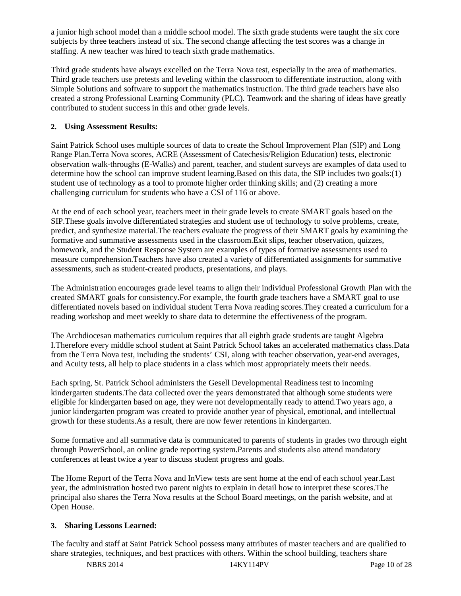a junior high school model than a middle school model. The sixth grade students were taught the six core subjects by three teachers instead of six. The second change affecting the test scores was a change in staffing. A new teacher was hired to teach sixth grade mathematics.

Third grade students have always excelled on the Terra Nova test, especially in the area of mathematics. Third grade teachers use pretests and leveling within the classroom to differentiate instruction, along with Simple Solutions and software to support the mathematics instruction. The third grade teachers have also created a strong Professional Learning Community (PLC). Teamwork and the sharing of ideas have greatly contributed to student success in this and other grade levels.

#### **2. Using Assessment Results:**

Saint Patrick School uses multiple sources of data to create the School Improvement Plan (SIP) and Long Range Plan.Terra Nova scores, ACRE (Assessment of Catechesis/Religion Education) tests, electronic observation walk-throughs (E-Walks) and parent, teacher, and student surveys are examples of data used to determine how the school can improve student learning. Based on this data, the SIP includes two goals:(1) student use of technology as a tool to promote higher order thinking skills; and (2) creating a more challenging curriculum for students who have a CSI of 116 or above.

At the end of each school year, teachers meet in their grade levels to create SMART goals based on the SIP.These goals involve differentiated strategies and student use of technology to solve problems, create, predict, and synthesize material.The teachers evaluate the progress of their SMART goals by examining the formative and summative assessments used in the classroom.Exit slips, teacher observation, quizzes, homework, and the Student Response System are examples of types of formative assessments used to measure comprehension.Teachers have also created a variety of differentiated assignments for summative assessments, such as student-created products, presentations, and plays.

The Administration encourages grade level teams to align their individual Professional Growth Plan with the created SMART goals for consistency.For example, the fourth grade teachers have a SMART goal to use differentiated novels based on individual student Terra Nova reading scores.They created a curriculum for a reading workshop and meet weekly to share data to determine the effectiveness of the program.

The Archdiocesan mathematics curriculum requires that all eighth grade students are taught Algebra I.Therefore every middle school student at Saint Patrick School takes an accelerated mathematics class.Data from the Terra Nova test, including the students' CSI, along with teacher observation, year-end averages, and Acuity tests, all help to place students in a class which most appropriately meets their needs.

Each spring, St. Patrick School administers the Gesell Developmental Readiness test to incoming kindergarten students.The data collected over the years demonstrated that although some students were eligible for kindergarten based on age, they were not developmentally ready to attend.Two years ago, a junior kindergarten program was created to provide another year of physical, emotional, and intellectual growth for these students.As a result, there are now fewer retentions in kindergarten.

Some formative and all summative data is communicated to parents of students in grades two through eight through PowerSchool, an online grade reporting system.Parents and students also attend mandatory conferences at least twice a year to discuss student progress and goals.

The Home Report of the Terra Nova and InView tests are sent home at the end of each school year.Last year, the administration hosted two parent nights to explain in detail how to interpret these scores.The principal also shares the Terra Nova results at the School Board meetings, on the parish website, and at Open House.

#### **3. Sharing Lessons Learned:**

The faculty and staff at Saint Patrick School possess many attributes of master teachers and are qualified to share strategies, techniques, and best practices with others. Within the school building, teachers share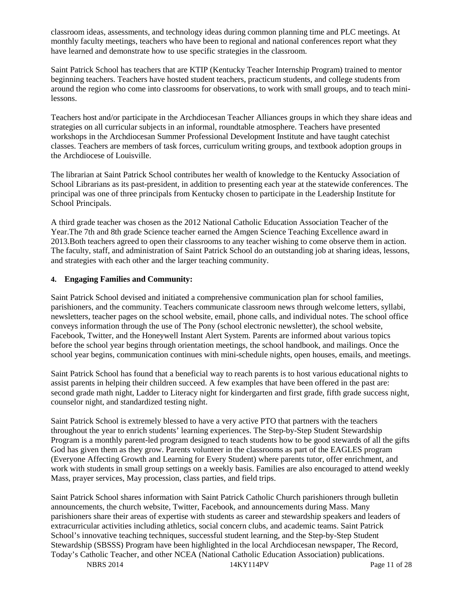classroom ideas, assessments, and technology ideas during common planning time and PLC meetings. At monthly faculty meetings, teachers who have been to regional and national conferences report what they have learned and demonstrate how to use specific strategies in the classroom.

Saint Patrick School has teachers that are KTIP (Kentucky Teacher Internship Program) trained to mentor beginning teachers. Teachers have hosted student teachers, practicum students, and college students from around the region who come into classrooms for observations, to work with small groups, and to teach minilessons.

Teachers host and/or participate in the Archdiocesan Teacher Alliances groups in which they share ideas and strategies on all curricular subjects in an informal, roundtable atmosphere. Teachers have presented workshops in the Archdiocesan Summer Professional Development Institute and have taught catechist classes. Teachers are members of task forces, curriculum writing groups, and textbook adoption groups in the Archdiocese of Louisville.

The librarian at Saint Patrick School contributes her wealth of knowledge to the Kentucky Association of School Librarians as its past-president, in addition to presenting each year at the statewide conferences. The principal was one of three principals from Kentucky chosen to participate in the Leadership Institute for School Principals.

A third grade teacher was chosen as the 2012 National Catholic Education Association Teacher of the Year.The 7th and 8th grade Science teacher earned the Amgen Science Teaching Excellence award in 2013.Both teachers agreed to open their classrooms to any teacher wishing to come observe them in action. The faculty, staff, and administration of Saint Patrick School do an outstanding job at sharing ideas, lessons, and strategies with each other and the larger teaching community.

#### **4. Engaging Families and Community:**

Saint Patrick School devised and initiated a comprehensive communication plan for school families, parishioners, and the community. Teachers communicate classroom news through welcome letters, syllabi, newsletters, teacher pages on the school website, email, phone calls, and individual notes. The school office conveys information through the use of The Pony (school electronic newsletter), the school website, Facebook, Twitter, and the Honeywell Instant Alert System. Parents are informed about various topics before the school year begins through orientation meetings, the school handbook, and mailings. Once the school year begins, communication continues with mini-schedule nights, open houses, emails, and meetings.

Saint Patrick School has found that a beneficial way to reach parents is to host various educational nights to assist parents in helping their children succeed. A few examples that have been offered in the past are: second grade math night, Ladder to Literacy night for kindergarten and first grade, fifth grade success night, counselor night, and standardized testing night.

Saint Patrick School is extremely blessed to have a very active PTO that partners with the teachers throughout the year to enrich students' learning experiences. The Step-by-Step Student Stewardship Program is a monthly parent-led program designed to teach students how to be good stewards of all the gifts God has given them as they grow. Parents volunteer in the classrooms as part of the EAGLES program (Everyone Affecting Growth and Learning for Every Student) where parents tutor, offer enrichment, and work with students in small group settings on a weekly basis. Families are also encouraged to attend weekly Mass, prayer services, May procession, class parties, and field trips.

Saint Patrick School shares information with Saint Patrick Catholic Church parishioners through bulletin announcements, the church website, Twitter, Facebook, and announcements during Mass. Many parishioners share their areas of expertise with students as career and stewardship speakers and leaders of extracurricular activities including athletics, social concern clubs, and academic teams. Saint Patrick School's innovative teaching techniques, successful student learning, and the Step-by-Step Student Stewardship (SBSSS) Program have been highlighted in the local Archdiocesan newspaper, The Record, Today's Catholic Teacher, and other NCEA (National Catholic Education Association) publications.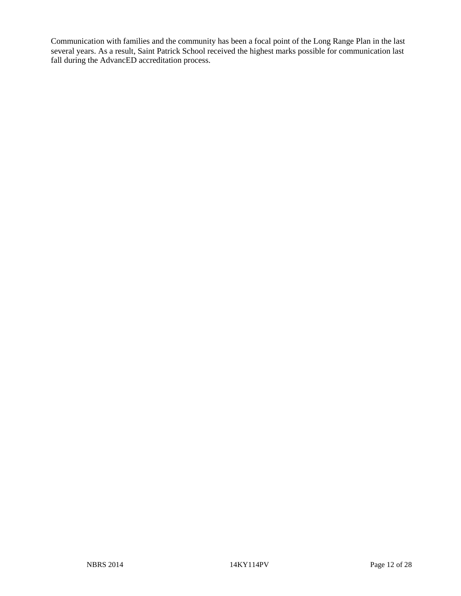Communication with families and the community has been a focal point of the Long Range Plan in the last several years. As a result, Saint Patrick School received the highest marks possible for communication last fall during the AdvancED accreditation process.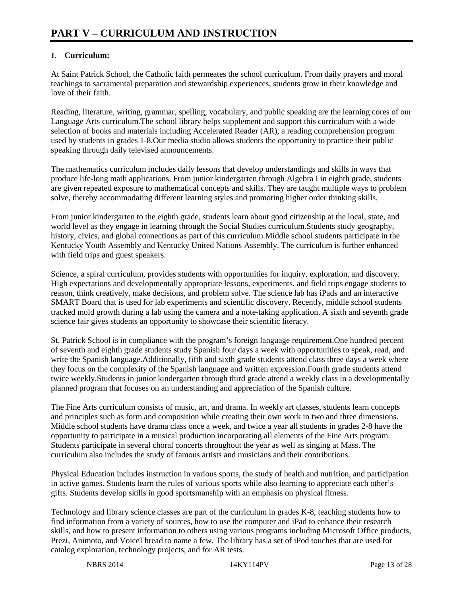## **1. Curriculum:**

At Saint Patrick School, the Catholic faith permeates the school curriculum. From daily prayers and moral teachings to sacramental preparation and stewardship experiences, students grow in their knowledge and love of their faith.

Reading, literature, writing, grammar, spelling, vocabulary, and public speaking are the learning cores of our Language Arts curriculum.The school library helps supplement and support this curriculum with a wide selection of books and materials including Accelerated Reader (AR), a reading comprehension program used by students in grades 1-8.Our media studio allows students the opportunity to practice their public speaking through daily televised announcements.

The mathematics curriculum includes daily lessons that develop understandings and skills in ways that produce life-long math applications. From junior kindergarten through Algebra I in eighth grade, students are given repeated exposure to mathematical concepts and skills. They are taught multiple ways to problem solve, thereby accommodating different learning styles and promoting higher order thinking skills.

From junior kindergarten to the eighth grade, students learn about good citizenship at the local, state, and world level as they engage in learning through the Social Studies curriculum.Students study geography, history, civics, and global connections as part of this curriculum.Middle school students participate in the Kentucky Youth Assembly and Kentucky United Nations Assembly. The curriculum is further enhanced with field trips and guest speakers.

Science, a spiral curriculum, provides students with opportunities for inquiry, exploration, and discovery. High expectations and developmentally appropriate lessons, experiments, and field trips engage students to reason, think creatively, make decisions, and problem solve. The science lab has iPads and an interactive SMART Board that is used for lab experiments and scientific discovery. Recently, middle school students tracked mold growth during a lab using the camera and a note-taking application. A sixth and seventh grade science fair gives students an opportunity to showcase their scientific literacy.

St. Patrick School is in compliance with the program's foreign language requirement.One hundred percent of seventh and eighth grade students study Spanish four days a week with opportunities to speak, read, and write the Spanish language. Additionally, fifth and sixth grade students attend class three days a week where they focus on the complexity of the Spanish language and written expression.Fourth grade students attend twice weekly.Students in junior kindergarten through third grade attend a weekly class in a developmentally planned program that focuses on an understanding and appreciation of the Spanish culture.

The Fine Arts curriculum consists of music, art, and drama. In weekly art classes, students learn concepts and principles such as form and composition while creating their own work in two and three dimensions. Middle school students have drama class once a week, and twice a year all students in grades 2-8 have the opportunity to participate in a musical production incorporating all elements of the Fine Arts program. Students participate in several choral concerts throughout the year as well as singing at Mass. The curriculum also includes the study of famous artists and musicians and their contributions.

Physical Education includes instruction in various sports, the study of health and nutrition, and participation in active games. Students learn the rules of various sports while also learning to appreciate each other's gifts. Students develop skills in good sportsmanship with an emphasis on physical fitness.

Technology and library science classes are part of the curriculum in grades K-8, teaching students how to find information from a variety of sources, how to use the computer and iPad to enhance their research skills, and how to present information to others using various programs including Microsoft Office products, Prezi, Animoto, and VoiceThread to name a few. The library has a set of iPod touches that are used for catalog exploration, technology projects, and for AR tests.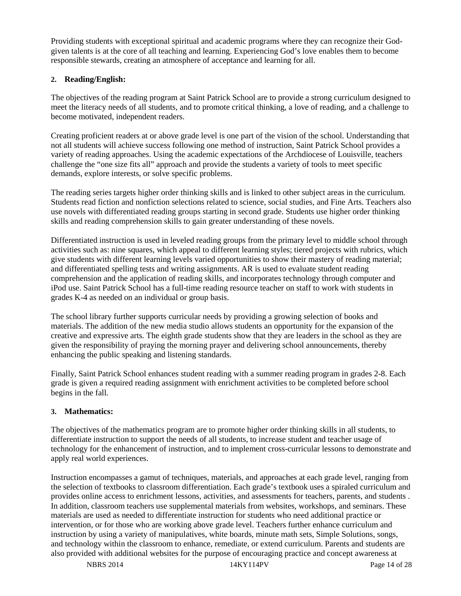Providing students with exceptional spiritual and academic programs where they can recognize their Godgiven talents is at the core of all teaching and learning. Experiencing God's love enables them to become responsible stewards, creating an atmosphere of acceptance and learning for all.

#### **2. Reading/English:**

The objectives of the reading program at Saint Patrick School are to provide a strong curriculum designed to meet the literacy needs of all students, and to promote critical thinking, a love of reading, and a challenge to become motivated, independent readers.

Creating proficient readers at or above grade level is one part of the vision of the school. Understanding that not all students will achieve success following one method of instruction, Saint Patrick School provides a variety of reading approaches. Using the academic expectations of the Archdiocese of Louisville, teachers challenge the "one size fits all" approach and provide the students a variety of tools to meet specific demands, explore interests, or solve specific problems.

The reading series targets higher order thinking skills and is linked to other subject areas in the curriculum. Students read fiction and nonfiction selections related to science, social studies, and Fine Arts. Teachers also use novels with differentiated reading groups starting in second grade. Students use higher order thinking skills and reading comprehension skills to gain greater understanding of these novels.

Differentiated instruction is used in leveled reading groups from the primary level to middle school through activities such as: nine squares, which appeal to different learning styles; tiered projects with rubrics, which give students with different learning levels varied opportunities to show their mastery of reading material; and differentiated spelling tests and writing assignments. AR is used to evaluate student reading comprehension and the application of reading skills, and incorporates technology through computer and iPod use. Saint Patrick School has a full-time reading resource teacher on staff to work with students in grades K-4 as needed on an individual or group basis.

The school library further supports curricular needs by providing a growing selection of books and materials. The addition of the new media studio allows students an opportunity for the expansion of the creative and expressive arts. The eighth grade students show that they are leaders in the school as they are given the responsibility of praying the morning prayer and delivering school announcements, thereby enhancing the public speaking and listening standards.

Finally, Saint Patrick School enhances student reading with a summer reading program in grades 2-8. Each grade is given a required reading assignment with enrichment activities to be completed before school begins in the fall.

#### **3. Mathematics:**

The objectives of the mathematics program are to promote higher order thinking skills in all students, to differentiate instruction to support the needs of all students, to increase student and teacher usage of technology for the enhancement of instruction, and to implement cross-curricular lessons to demonstrate and apply real world experiences.

Instruction encompasses a gamut of techniques, materials, and approaches at each grade level, ranging from the selection of textbooks to classroom differentiation. Each grade's textbook uses a spiraled curriculum and provides online access to enrichment lessons, activities, and assessments for teachers, parents, and students . In addition, classroom teachers use supplemental materials from websites, workshops, and seminars. These materials are used as needed to differentiate instruction for students who need additional practice or intervention, or for those who are working above grade level. Teachers further enhance curriculum and instruction by using a variety of manipulatives, white boards, minute math sets, Simple Solutions, songs, and technology within the classroom to enhance, remediate, or extend curriculum. Parents and students are also provided with additional websites for the purpose of encouraging practice and concept awareness at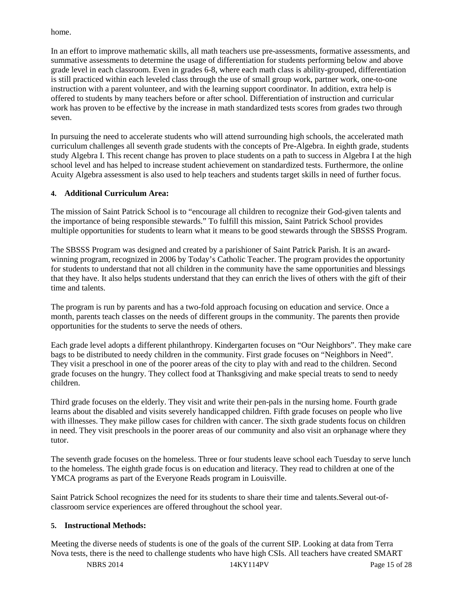home.

In an effort to improve mathematic skills, all math teachers use pre-assessments, formative assessments, and summative assessments to determine the usage of differentiation for students performing below and above grade level in each classroom. Even in grades 6-8, where each math class is ability-grouped, differentiation is still practiced within each leveled class through the use of small group work, partner work, one-to-one instruction with a parent volunteer, and with the learning support coordinator. In addition, extra help is offered to students by many teachers before or after school. Differentiation of instruction and curricular work has proven to be effective by the increase in math standardized tests scores from grades two through seven.

In pursuing the need to accelerate students who will attend surrounding high schools, the accelerated math curriculum challenges all seventh grade students with the concepts of Pre-Algebra. In eighth grade, students study Algebra I. This recent change has proven to place students on a path to success in Algebra I at the high school level and has helped to increase student achievement on standardized tests. Furthermore, the online Acuity Algebra assessment is also used to help teachers and students target skills in need of further focus.

#### **4. Additional Curriculum Area:**

The mission of Saint Patrick School is to "encourage all children to recognize their God-given talents and the importance of being responsible stewards." To fulfill this mission, Saint Patrick School provides multiple opportunities for students to learn what it means to be good stewards through the SBSSS Program.

The SBSSS Program was designed and created by a parishioner of Saint Patrick Parish. It is an awardwinning program, recognized in 2006 by Today's Catholic Teacher. The program provides the opportunity for students to understand that not all children in the community have the same opportunities and blessings that they have. It also helps students understand that they can enrich the lives of others with the gift of their time and talents.

The program is run by parents and has a two-fold approach focusing on education and service. Once a month, parents teach classes on the needs of different groups in the community. The parents then provide opportunities for the students to serve the needs of others.

Each grade level adopts a different philanthropy. Kindergarten focuses on "Our Neighbors". They make care bags to be distributed to needy children in the community. First grade focuses on "Neighbors in Need". They visit a preschool in one of the poorer areas of the city to play with and read to the children. Second grade focuses on the hungry. They collect food at Thanksgiving and make special treats to send to needy children.

Third grade focuses on the elderly. They visit and write their pen-pals in the nursing home. Fourth grade learns about the disabled and visits severely handicapped children. Fifth grade focuses on people who live with illnesses. They make pillow cases for children with cancer. The sixth grade students focus on children in need. They visit preschools in the poorer areas of our community and also visit an orphanage where they tutor.

The seventh grade focuses on the homeless. Three or four students leave school each Tuesday to serve lunch to the homeless. The eighth grade focus is on education and literacy. They read to children at one of the YMCA programs as part of the Everyone Reads program in Louisville.

Saint Patrick School recognizes the need for its students to share their time and talents.Several out-ofclassroom service experiences are offered throughout the school year.

#### **5. Instructional Methods:**

Meeting the diverse needs of students is one of the goals of the current SIP. Looking at data from Terra Nova tests, there is the need to challenge students who have high CSIs. All teachers have created SMART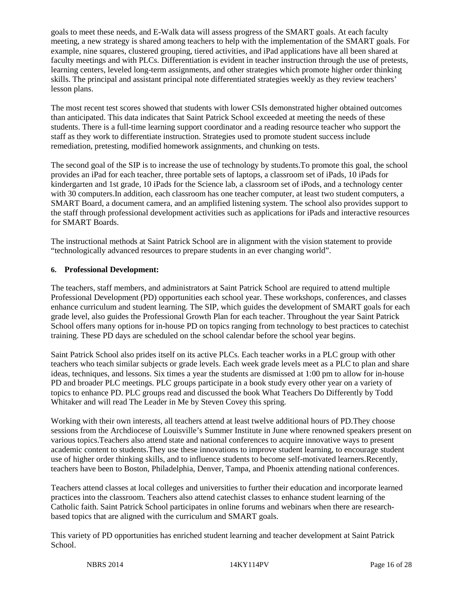goals to meet these needs, and E-Walk data will assess progress of the SMART goals. At each faculty meeting, a new strategy is shared among teachers to help with the implementation of the SMART goals. For example, nine squares, clustered grouping, tiered activities, and iPad applications have all been shared at faculty meetings and with PLCs. Differentiation is evident in teacher instruction through the use of pretests, learning centers, leveled long-term assignments, and other strategies which promote higher order thinking skills. The principal and assistant principal note differentiated strategies weekly as they review teachers' lesson plans.

The most recent test scores showed that students with lower CSIs demonstrated higher obtained outcomes than anticipated. This data indicates that Saint Patrick School exceeded at meeting the needs of these students. There is a full-time learning support coordinator and a reading resource teacher who support the staff as they work to differentiate instruction. Strategies used to promote student success include remediation, pretesting, modified homework assignments, and chunking on tests.

The second goal of the SIP is to increase the use of technology by students.To promote this goal, the school provides an iPad for each teacher, three portable sets of laptops, a classroom set of iPads, 10 iPads for kindergarten and 1st grade, 10 iPads for the Science lab, a classroom set of iPods, and a technology center with 30 computers. In addition, each classroom has one teacher computer, at least two student computers, a SMART Board, a document camera, and an amplified listening system. The school also provides support to the staff through professional development activities such as applications for iPads and interactive resources for SMART Boards.

The instructional methods at Saint Patrick School are in alignment with the vision statement to provide "technologically advanced resources to prepare students in an ever changing world".

#### **6. Professional Development:**

The teachers, staff members, and administrators at Saint Patrick School are required to attend multiple Professional Development (PD) opportunities each school year. These workshops, conferences, and classes enhance curriculum and student learning. The SIP, which guides the development of SMART goals for each grade level, also guides the Professional Growth Plan for each teacher. Throughout the year Saint Patrick School offers many options for in-house PD on topics ranging from technology to best practices to catechist training. These PD days are scheduled on the school calendar before the school year begins.

Saint Patrick School also prides itself on its active PLCs. Each teacher works in a PLC group with other teachers who teach similar subjects or grade levels. Each week grade levels meet as a PLC to plan and share ideas, techniques, and lessons. Six times a year the students are dismissed at 1:00 pm to allow for in-house PD and broader PLC meetings. PLC groups participate in a book study every other year on a variety of topics to enhance PD. PLC groups read and discussed the book What Teachers Do Differently by Todd Whitaker and will read The Leader in Me by Steven Covey this spring.

Working with their own interests, all teachers attend at least twelve additional hours of PD.They choose sessions from the Archdiocese of Louisville's Summer Institute in June where renowned speakers present on various topics.Teachers also attend state and national conferences to acquire innovative ways to present academic content to students.They use these innovations to improve student learning, to encourage student use of higher order thinking skills, and to influence students to become self-motivated learners.Recently, teachers have been to Boston, Philadelphia, Denver, Tampa, and Phoenix attending national conferences.

Teachers attend classes at local colleges and universities to further their education and incorporate learned practices into the classroom. Teachers also attend catechist classes to enhance student learning of the Catholic faith. Saint Patrick School participates in online forums and webinars when there are researchbased topics that are aligned with the curriculum and SMART goals.

This variety of PD opportunities has enriched student learning and teacher development at Saint Patrick School.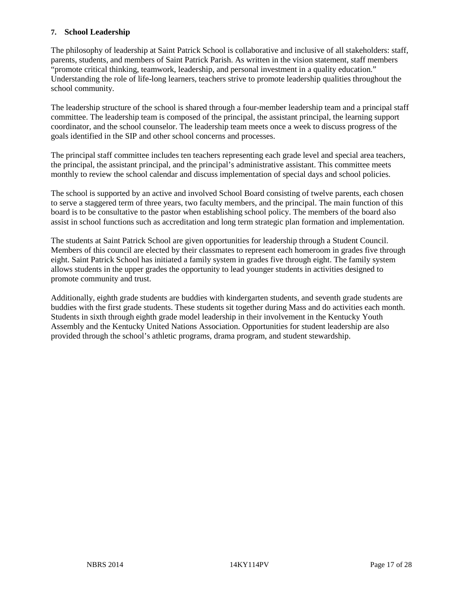#### **7. School Leadership**

The philosophy of leadership at Saint Patrick School is collaborative and inclusive of all stakeholders: staff, parents, students, and members of Saint Patrick Parish. As written in the vision statement, staff members "promote critical thinking, teamwork, leadership, and personal investment in a quality education." Understanding the role of life-long learners, teachers strive to promote leadership qualities throughout the school community.

The leadership structure of the school is shared through a four-member leadership team and a principal staff committee. The leadership team is composed of the principal, the assistant principal, the learning support coordinator, and the school counselor. The leadership team meets once a week to discuss progress of the goals identified in the SIP and other school concerns and processes.

The principal staff committee includes ten teachers representing each grade level and special area teachers, the principal, the assistant principal, and the principal's administrative assistant. This committee meets monthly to review the school calendar and discuss implementation of special days and school policies.

The school is supported by an active and involved School Board consisting of twelve parents, each chosen to serve a staggered term of three years, two faculty members, and the principal. The main function of this board is to be consultative to the pastor when establishing school policy. The members of the board also assist in school functions such as accreditation and long term strategic plan formation and implementation.

The students at Saint Patrick School are given opportunities for leadership through a Student Council. Members of this council are elected by their classmates to represent each homeroom in grades five through eight. Saint Patrick School has initiated a family system in grades five through eight. The family system allows students in the upper grades the opportunity to lead younger students in activities designed to promote community and trust.

Additionally, eighth grade students are buddies with kindergarten students, and seventh grade students are buddies with the first grade students. These students sit together during Mass and do activities each month. Students in sixth through eighth grade model leadership in their involvement in the Kentucky Youth Assembly and the Kentucky United Nations Association. Opportunities for student leadership are also provided through the school's athletic programs, drama program, and student stewardship.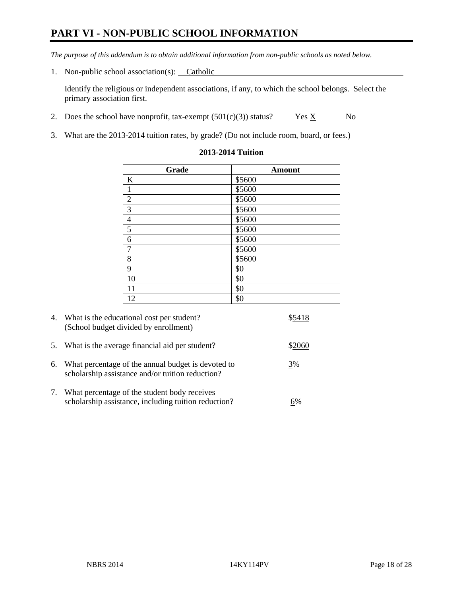# **PART VI - NON-PUBLIC SCHOOL INFORMATION**

*The purpose of this addendum is to obtain additional information from non-public schools as noted below.* 

1. Non-public school association(s): Catholic

Identify the religious or independent associations, if any, to which the school belongs. Select the primary association first.

- 2. Does the school have nonprofit, tax-exempt  $(501(c)(3))$  status? Yes  $\underline{X}$  No
- 3. What are the 2013-2014 tuition rates, by grade? (Do not include room, board, or fees.)

| Grade          | <b>Amount</b> |
|----------------|---------------|
| K              | \$5600        |
| $\mathbf{1}$   | \$5600        |
| $\sqrt{2}$     | \$5600        |
| $\overline{3}$ | \$5600        |
| $\overline{4}$ | \$5600        |
| $\overline{5}$ | \$5600        |
| $\sqrt{6}$     | \$5600        |
| $\overline{7}$ | \$5600        |
| 8              | \$5600        |
| 9              | \$0           |
| 10             | \$0           |
| 11             | \$0           |
| 12             | \$0           |

#### **2013-2014 Tuition**

|    | 4. What is the educational cost per student?<br>(School budget divided by enrollment)                  | \$5418 |
|----|--------------------------------------------------------------------------------------------------------|--------|
| 5. | What is the average financial aid per student?                                                         | \$2060 |
| 6. | What percentage of the annual budget is devoted to<br>scholarship assistance and/or tuition reduction? | 3%     |
| 7. | What percentage of the student body receives<br>scholarship assistance, including tuition reduction?   |        |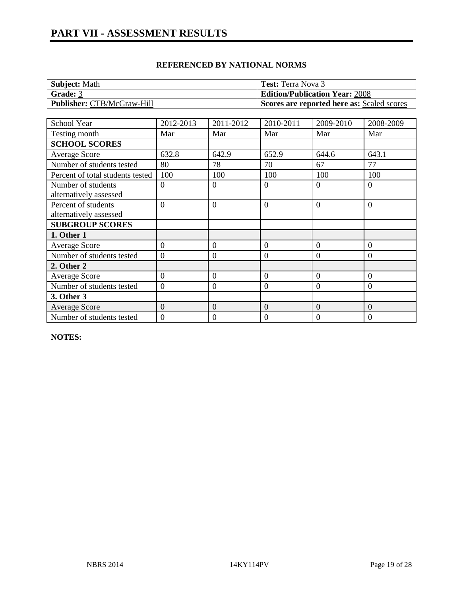| <b>Subject: Math</b>              | <b>Test:</b> Terra Nova 3                  |
|-----------------------------------|--------------------------------------------|
| Grade: 3                          | <b>Edition/Publication Year: 2008</b>      |
| <b>Publisher:</b> CTB/McGraw-Hill | Scores are reported here as: Scaled scores |

| School Year                      | 2012-2013        | 2011-2012      | 2010-2011        | 2009-2010        | 2008-2009      |
|----------------------------------|------------------|----------------|------------------|------------------|----------------|
| Testing month                    | Mar              | Mar            | Mar              | Mar              | Mar            |
| <b>SCHOOL SCORES</b>             |                  |                |                  |                  |                |
| <b>Average Score</b>             | 632.8            | 642.9          | 652.9            | 644.6            | 643.1          |
| Number of students tested        | 80               | 78             | 70               | 67               | 77             |
| Percent of total students tested | 100              | 100            | 100              | 100              | 100            |
| Number of students               | $\overline{0}$   | $\Omega$       | $\theta$         | $\Omega$         | $\theta$       |
| alternatively assessed           |                  |                |                  |                  |                |
| Percent of students              | $\Omega$         | $\Omega$       | $\overline{0}$   | $\Omega$         | $\overline{0}$ |
| alternatively assessed           |                  |                |                  |                  |                |
| <b>SUBGROUP SCORES</b>           |                  |                |                  |                  |                |
| 1. Other 1                       |                  |                |                  |                  |                |
| <b>Average Score</b>             | $\overline{0}$   | $\Omega$       | $\overline{0}$   | $\Omega$         | $\theta$       |
| Number of students tested        | $\theta$         | $\theta$       | $\overline{0}$   | $\theta$         | $\theta$       |
| 2. Other 2                       |                  |                |                  |                  |                |
| <b>Average Score</b>             | $\overline{0}$   | $\overline{0}$ | $\overline{0}$   | $\overline{0}$   | $\overline{0}$ |
| Number of students tested        | $\overline{0}$   | $\overline{0}$ | $\boldsymbol{0}$ | $\overline{0}$   | $\overline{0}$ |
| 3. Other 3                       |                  |                |                  |                  |                |
| <b>Average Score</b>             | $\Omega$         | $\overline{0}$ | $\overline{0}$   | $\theta$         | $\overline{0}$ |
| Number of students tested        | $\boldsymbol{0}$ | 0              | $\mathbf{0}$     | $\boldsymbol{0}$ | 0              |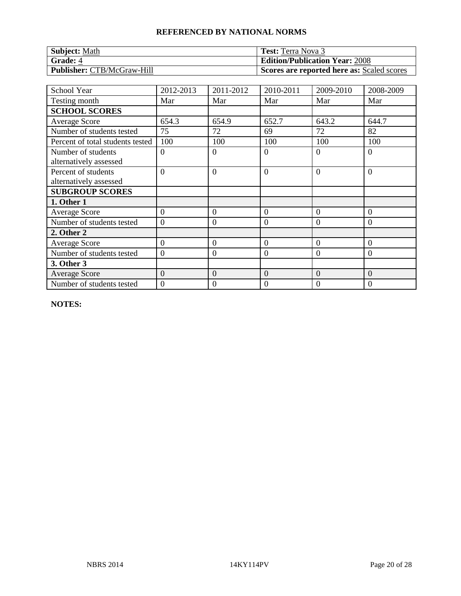| <b>Subject: Math</b>              | <b>Test:</b> Terra Nova 3                  |
|-----------------------------------|--------------------------------------------|
| <b>Grade: 4</b>                   | <b>Edition/Publication Year: 2008</b>      |
| <b>Publisher: CTB/McGraw-Hill</b> | Scores are reported here as: Scaled scores |

| <b>School Year</b>                            | 2012-2013        | 2011-2012        | 2010-2011        | 2009-2010      | 2008-2009        |
|-----------------------------------------------|------------------|------------------|------------------|----------------|------------------|
| Testing month                                 | Mar              | Mar              | Mar              | Mar            | Mar              |
| <b>SCHOOL SCORES</b>                          |                  |                  |                  |                |                  |
| <b>Average Score</b>                          | 654.3            | 654.9            | 652.7            | 643.2          | 644.7            |
| Number of students tested                     | 75               | 72               | 69               | 72             | 82               |
| Percent of total students tested              | 100              | 100              | 100              | 100            | 100              |
| Number of students<br>alternatively assessed  | $\theta$         | $\overline{0}$   | $\overline{0}$   | $\Omega$       | $\theta$         |
| Percent of students<br>alternatively assessed | $\overline{0}$   | $\overline{0}$   | $\overline{0}$   | $\Omega$       | $\overline{0}$   |
| <b>SUBGROUP SCORES</b>                        |                  |                  |                  |                |                  |
| 1. Other 1                                    |                  |                  |                  |                |                  |
| <b>Average Score</b>                          | $\theta$         | $\overline{0}$   | $\theta$         | $\Omega$       | $\Omega$         |
| Number of students tested                     | $\overline{0}$   | $\overline{0}$   | $\mathbf{0}$     | $\theta$       | $\overline{0}$   |
| 2. Other 2                                    |                  |                  |                  |                |                  |
| <b>Average Score</b>                          | $\overline{0}$   | $\boldsymbol{0}$ | $\overline{0}$   | $\overline{0}$ | $\overline{0}$   |
| Number of students tested                     | $\boldsymbol{0}$ | $\boldsymbol{0}$ | $\mathbf{0}$     | $\Omega$       | $\boldsymbol{0}$ |
| 3. Other 3                                    |                  |                  |                  |                |                  |
| Average Score                                 | $\overline{0}$   | $\boldsymbol{0}$ | $\mathbf{0}$     | $\theta$       | $\overline{0}$   |
| Number of students tested                     | $\mathbf{0}$     | $\mathbf{0}$     | $\boldsymbol{0}$ | $\Omega$       | $\boldsymbol{0}$ |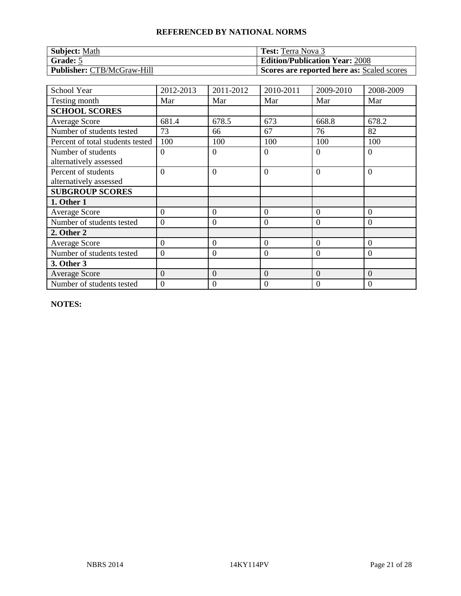| <b>Subject: Math</b>              | <b>Test:</b> Terra Nova 3                  |
|-----------------------------------|--------------------------------------------|
| Grade: 5                          | <b>Edition/Publication Year: 2008</b>      |
| <b>Publisher: CTB/McGraw-Hill</b> | Scores are reported here as: Scaled scores |

| <b>School Year</b>                            | 2012-2013        | 2011-2012        | 2010-2011        | 2009-2010      | 2008-2009      |
|-----------------------------------------------|------------------|------------------|------------------|----------------|----------------|
| Testing month                                 | Mar              | Mar              | Mar              | Mar            | Mar            |
| <b>SCHOOL SCORES</b>                          |                  |                  |                  |                |                |
| <b>Average Score</b>                          | 681.4            | 678.5            | 673              | 668.8          | 678.2          |
| Number of students tested                     | 73               | 66               | 67               | 76             | 82             |
| Percent of total students tested              | 100              | 100              | 100              | 100            | 100            |
| Number of students<br>alternatively assessed  | $\theta$         | $\overline{0}$   | $\overline{0}$   | $\Omega$       | $\theta$       |
| Percent of students<br>alternatively assessed | $\overline{0}$   | $\overline{0}$   | $\overline{0}$   | $\Omega$       | $\overline{0}$ |
| <b>SUBGROUP SCORES</b>                        |                  |                  |                  |                |                |
| 1. Other 1                                    |                  |                  |                  |                |                |
| <b>Average Score</b>                          | $\theta$         | $\overline{0}$   | $\overline{0}$   | $\Omega$       | $\Omega$       |
| Number of students tested                     | $\overline{0}$   | $\overline{0}$   | $\mathbf{0}$     | $\theta$       | $\overline{0}$ |
| 2. Other 2                                    |                  |                  |                  |                |                |
| <b>Average Score</b>                          | $\overline{0}$   | $\boldsymbol{0}$ | $\overline{0}$   | $\overline{0}$ | $\overline{0}$ |
| Number of students tested                     | $\boldsymbol{0}$ | $\boldsymbol{0}$ | $\mathbf{0}$     | $\Omega$       | $\mathbf{0}$   |
| 3. Other 3                                    |                  |                  |                  |                |                |
| Average Score                                 | $\overline{0}$   | $\boldsymbol{0}$ | $\mathbf{0}$     | $\theta$       | $\overline{0}$ |
| Number of students tested                     | $\mathbf{0}$     | $\mathbf{0}$     | $\boldsymbol{0}$ | $\Omega$       | $\mathbf{0}$   |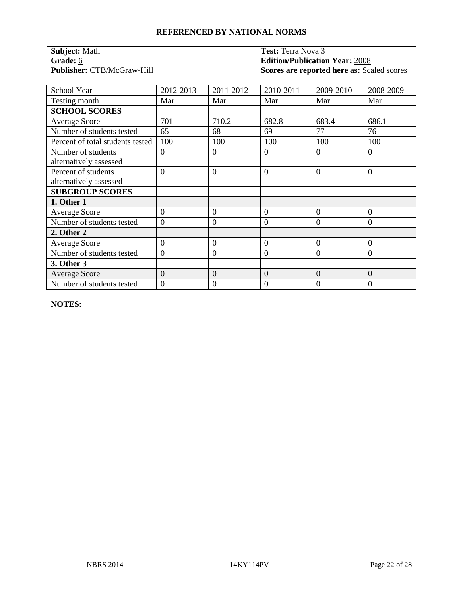| <b>Subject: Math</b>              | <b>Test:</b> Terra Nova 3                  |
|-----------------------------------|--------------------------------------------|
| Grade: 6                          | <b>Edition/Publication Year: 2008</b>      |
| <b>Publisher: CTB/McGraw-Hill</b> | Scores are reported here as: Scaled scores |

| <b>School Year</b>                            | 2012-2013        | 2011-2012        | 2010-2011        | 2009-2010      | 2008-2009        |
|-----------------------------------------------|------------------|------------------|------------------|----------------|------------------|
| Testing month                                 | Mar              | Mar              | Mar              | Mar            | Mar              |
| <b>SCHOOL SCORES</b>                          |                  |                  |                  |                |                  |
| <b>Average Score</b>                          | 701              | 710.2            | 682.8            | 683.4          | 686.1            |
| Number of students tested                     | 65               | 68               | 69               | 77             | 76               |
| Percent of total students tested              | 100              | 100              | 100              | 100            | 100              |
| Number of students<br>alternatively assessed  | $\theta$         | $\overline{0}$   | $\overline{0}$   | $\Omega$       | $\theta$         |
| Percent of students<br>alternatively assessed | $\overline{0}$   | $\overline{0}$   | $\overline{0}$   | $\Omega$       | $\overline{0}$   |
| <b>SUBGROUP SCORES</b>                        |                  |                  |                  |                |                  |
| 1. Other 1                                    |                  |                  |                  |                |                  |
| <b>Average Score</b>                          | $\theta$         | $\overline{0}$   | $\theta$         | $\Omega$       | $\Omega$         |
| Number of students tested                     | $\overline{0}$   | $\overline{0}$   | $\mathbf{0}$     | $\theta$       | $\overline{0}$   |
| 2. Other 2                                    |                  |                  |                  |                |                  |
| <b>Average Score</b>                          | $\overline{0}$   | $\boldsymbol{0}$ | $\overline{0}$   | $\overline{0}$ | $\overline{0}$   |
| Number of students tested                     | $\boldsymbol{0}$ | $\boldsymbol{0}$ | $\mathbf{0}$     | $\Omega$       | $\boldsymbol{0}$ |
| 3. Other 3                                    |                  |                  |                  |                |                  |
| Average Score                                 | $\overline{0}$   | $\boldsymbol{0}$ | $\mathbf{0}$     | $\theta$       | $\overline{0}$   |
| Number of students tested                     | $\mathbf{0}$     | $\mathbf{0}$     | $\boldsymbol{0}$ | $\Omega$       | $\boldsymbol{0}$ |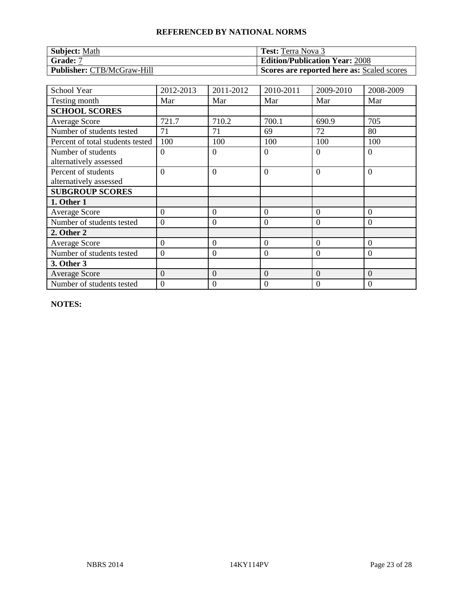| <b>Subject: Math</b>              | <b>Test:</b> Terra Nova 3                  |
|-----------------------------------|--------------------------------------------|
| Grade: 7                          | <b>Edition/Publication Year: 2008</b>      |
| <b>Publisher: CTB/McGraw-Hill</b> | Scores are reported here as: Scaled scores |

| <b>School Year</b>                            | 2012-2013      | 2011-2012        | 2010-2011        | 2009-2010      | 2008-2009        |
|-----------------------------------------------|----------------|------------------|------------------|----------------|------------------|
| Testing month                                 | Mar            | Mar              | Mar              | Mar            | Mar              |
| <b>SCHOOL SCORES</b>                          |                |                  |                  |                |                  |
| <b>Average Score</b>                          | 721.7          | 710.2            | 700.1            | 690.9          | 705              |
| Number of students tested                     | 71             | 71               | 69               | 72             | 80               |
| Percent of total students tested              | 100            | 100              | 100              | 100            | 100              |
| Number of students<br>alternatively assessed  | $\theta$       | $\theta$         | $\overline{0}$   | $\Omega$       | $\overline{0}$   |
| Percent of students<br>alternatively assessed | $\Omega$       | $\overline{0}$   | $\theta$         | $\Omega$       | $\overline{0}$   |
| <b>SUBGROUP SCORES</b>                        |                |                  |                  |                |                  |
| 1. Other 1                                    |                |                  |                  |                |                  |
| <b>Average Score</b>                          | $\theta$       | $\overline{0}$   | $\overline{0}$   | $\Omega$       | $\overline{0}$   |
| Number of students tested                     | $\overline{0}$ | $\overline{0}$   | $\overline{0}$   | $\theta$       | $\theta$         |
| 2. Other 2                                    |                |                  |                  |                |                  |
| <b>Average Score</b>                          | $\overline{0}$ | $\boldsymbol{0}$ | $\overline{0}$   | $\Omega$       | $\overline{0}$   |
| Number of students tested                     | $\overline{0}$ | $\overline{0}$   | $\boldsymbol{0}$ | $\overline{0}$ | $\overline{0}$   |
| 3. Other 3                                    |                |                  |                  |                |                  |
| <b>Average Score</b>                          | $\overline{0}$ | $\boldsymbol{0}$ | $\mathbf{0}$     | $\mathbf{0}$   | $\overline{0}$   |
| Number of students tested                     | $\mathbf{0}$   | $\mathbf{0}$     | $\boldsymbol{0}$ | $\Omega$       | $\boldsymbol{0}$ |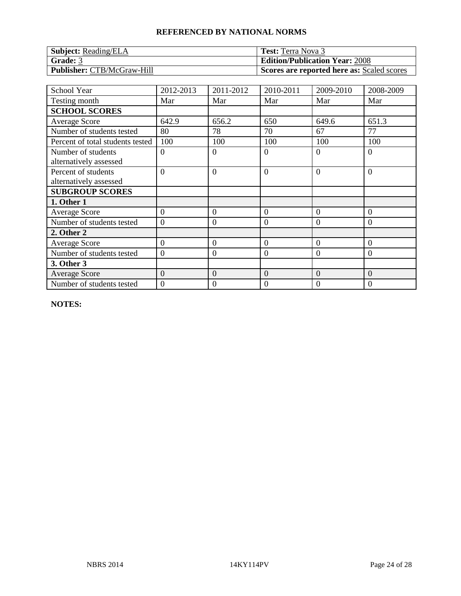| <b>Subject:</b> Reading/ELA       | <b>Test:</b> Terra Nova 3                  |
|-----------------------------------|--------------------------------------------|
| Grade: 3                          | <b>Edition/Publication Year: 2008</b>      |
| <b>Publisher: CTB/McGraw-Hill</b> | Scores are reported here as: Scaled scores |

| School Year                                   | 2012-2013      | 2011-2012      | 2010-2011      | 2009-2010 | 2008-2009        |
|-----------------------------------------------|----------------|----------------|----------------|-----------|------------------|
| Testing month                                 | Mar            | Mar            | Mar            | Mar       | Mar              |
| <b>SCHOOL SCORES</b>                          |                |                |                |           |                  |
| <b>Average Score</b>                          | 642.9          | 656.2          | 650            | 649.6     | 651.3            |
| Number of students tested                     | 80             | 78             | 70             | 67        | 77               |
| Percent of total students tested              | 100            | 100            | 100            | 100       | 100              |
| Number of students<br>alternatively assessed  | $\overline{0}$ | $\overline{0}$ | $\overline{0}$ | $\Omega$  | $\overline{0}$   |
| Percent of students<br>alternatively assessed | $\Omega$       | $\overline{0}$ | $\overline{0}$ | $\Omega$  | $\overline{0}$   |
| <b>SUBGROUP SCORES</b>                        |                |                |                |           |                  |
| 1. Other 1                                    |                |                |                |           |                  |
| <b>Average Score</b>                          | $\Omega$       | $\overline{0}$ | $\overline{0}$ | $\Omega$  | $\Omega$         |
| Number of students tested                     | $\overline{0}$ | $\overline{0}$ | $\overline{0}$ | $\theta$  | $\theta$         |
| 2. Other 2                                    |                |                |                |           |                  |
| <b>Average Score</b>                          | $\overline{0}$ | $\overline{0}$ | $\overline{0}$ | $\Omega$  | $\theta$         |
| Number of students tested                     | $\overline{0}$ | $\overline{0}$ | $\mathbf{0}$   | $\Omega$  | $\overline{0}$   |
| 3. Other 3                                    |                |                |                |           |                  |
| <b>Average Score</b>                          | $\overline{0}$ | $\overline{0}$ | $\overline{0}$ | $\theta$  | $\overline{0}$   |
| Number of students tested                     | $\overline{0}$ | 0              | $\mathbf{0}$   | 0         | $\boldsymbol{0}$ |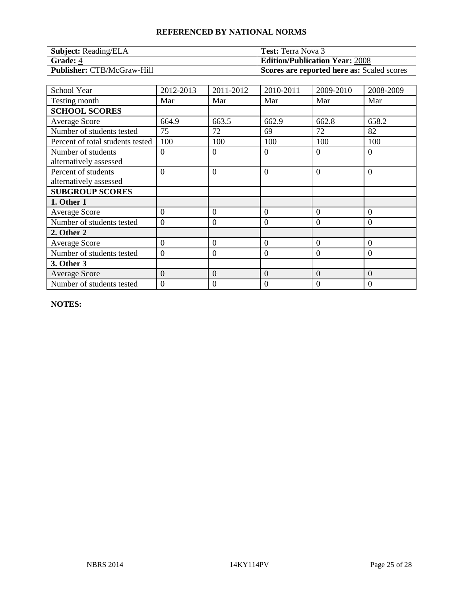| <b>Subject:</b> Reading/ELA       | <b>Test:</b> Terra Nova 3                  |
|-----------------------------------|--------------------------------------------|
| <b>Grade: 4</b>                   | <b>Edition/Publication Year: 2008</b>      |
| <b>Publisher:</b> CTB/McGraw-Hill | Scores are reported here as: Scaled scores |

| <b>School Year</b>                            | 2012-2013      | 2011-2012        | 2010-2011        | 2009-2010      | 2008-2009      |
|-----------------------------------------------|----------------|------------------|------------------|----------------|----------------|
| Testing month                                 | Mar            | Mar              | Mar              | Mar            | Mar            |
| <b>SCHOOL SCORES</b>                          |                |                  |                  |                |                |
| <b>Average Score</b>                          | 664.9          | 663.5            | 662.9            | 662.8          | 658.2          |
| Number of students tested                     | 75             | 72               | 69               | 72             | 82             |
| Percent of total students tested              | 100            | 100              | 100              | 100            | 100            |
| Number of students<br>alternatively assessed  | $\Omega$       | $\overline{0}$   | $\overline{0}$   | $\Omega$       | $\overline{0}$ |
| Percent of students<br>alternatively assessed | $\Omega$       | $\overline{0}$   | $\theta$         | $\Omega$       | $\overline{0}$ |
| <b>SUBGROUP SCORES</b>                        |                |                  |                  |                |                |
| 1. Other 1                                    |                |                  |                  |                |                |
| <b>Average Score</b>                          | $\theta$       | $\overline{0}$   | $\overline{0}$   | $\Omega$       | $\overline{0}$ |
| Number of students tested                     | $\overline{0}$ | $\overline{0}$   | $\overline{0}$   | $\theta$       | $\theta$       |
| 2. Other 2                                    |                |                  |                  |                |                |
| <b>Average Score</b>                          | $\overline{0}$ | $\boldsymbol{0}$ | $\overline{0}$   | $\Omega$       | $\overline{0}$ |
| Number of students tested                     | $\overline{0}$ | $\overline{0}$   | $\boldsymbol{0}$ | $\overline{0}$ | $\overline{0}$ |
| 3. Other 3                                    |                |                  |                  |                |                |
| <b>Average Score</b>                          | $\overline{0}$ | $\boldsymbol{0}$ | $\mathbf{0}$     | $\mathbf{0}$   | $\overline{0}$ |
| Number of students tested                     | $\mathbf{0}$   | $\mathbf{0}$     | $\boldsymbol{0}$ | $\Omega$       | $\mathbf{0}$   |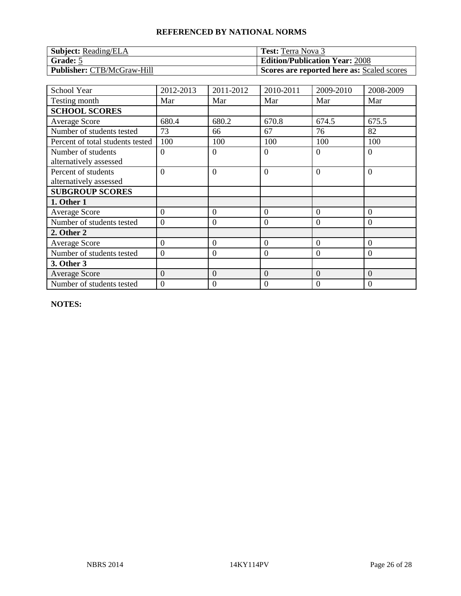| <b>Subject:</b> Reading/ELA       | <b>Test:</b> Terra Nova 3                  |
|-----------------------------------|--------------------------------------------|
| Grade: 5                          | <b>Edition/Publication Year: 2008</b>      |
| <b>Publisher: CTB/McGraw-Hill</b> | Scores are reported here as: Scaled scores |

| School Year                                   | 2012-2013      | 2011-2012        | 2010-2011      | 2009-2010 | 2008-2009      |
|-----------------------------------------------|----------------|------------------|----------------|-----------|----------------|
| Testing month                                 | Mar            | Mar              | Mar            | Mar       | Mar            |
| <b>SCHOOL SCORES</b>                          |                |                  |                |           |                |
| <b>Average Score</b>                          | 680.4          | 680.2            | 670.8          | 674.5     | 675.5          |
| Number of students tested                     | 73             | 66               | 67             | 76        | 82             |
| Percent of total students tested              | 100            | 100              | 100            | 100       | 100            |
| Number of students<br>alternatively assessed  | $\theta$       | $\theta$         | $\theta$       | $\Omega$  | $\overline{0}$ |
| Percent of students<br>alternatively assessed | $\overline{0}$ | $\overline{0}$   | $\overline{0}$ | $\Omega$  | $\overline{0}$ |
| <b>SUBGROUP SCORES</b>                        |                |                  |                |           |                |
| 1. Other 1                                    |                |                  |                |           |                |
| <b>Average Score</b>                          | $\theta$       | $\overline{0}$   | $\theta$       | $\Omega$  | $\theta$       |
| Number of students tested                     | $\overline{0}$ | $\theta$         | $\overline{0}$ | $\theta$  | $\theta$       |
| 2. Other 2                                    |                |                  |                |           |                |
| Average Score                                 | $\overline{0}$ | $\overline{0}$   | $\overline{0}$ | $\Omega$  | $\theta$       |
| Number of students tested                     | $\theta$       | $\overline{0}$   | $\overline{0}$ | $\theta$  | $\overline{0}$ |
| 3. Other 3                                    |                |                  |                |           |                |
| <b>Average Score</b>                          | $\overline{0}$ | $\boldsymbol{0}$ | $\overline{0}$ | $\theta$  | $\theta$       |
| Number of students tested                     | $\overline{0}$ | 0                | $\mathbf{0}$   | 0         | $\overline{0}$ |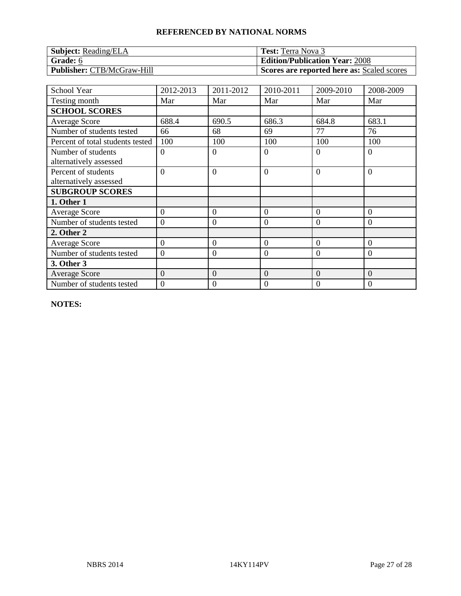| <b>Subject:</b> Reading/ELA       | <b>Test:</b> Terra Nova 3                  |
|-----------------------------------|--------------------------------------------|
| Grade: 6                          | <b>Edition/Publication Year: 2008</b>      |
| <b>Publisher:</b> CTB/McGraw-Hill | Scores are reported here as: Scaled scores |

| School Year                                   | 2012-2013      | 2011-2012      | 2010-2011      | 2009-2010 | 2008-2009        |
|-----------------------------------------------|----------------|----------------|----------------|-----------|------------------|
| Testing month                                 | Mar            | Mar            | Mar            | Mar       | Mar              |
| <b>SCHOOL SCORES</b>                          |                |                |                |           |                  |
| <b>Average Score</b>                          | 688.4          | 690.5          | 686.3          | 684.8     | 683.1            |
| Number of students tested                     | 66             | 68             | 69             | 77        | 76               |
| Percent of total students tested              | 100            | 100            | 100            | 100       | 100              |
| Number of students                            | $\overline{0}$ | $\overline{0}$ | $\theta$       | $\Omega$  | $\overline{0}$   |
| alternatively assessed                        |                |                |                |           |                  |
| Percent of students<br>alternatively assessed | $\Omega$       | $\overline{0}$ | $\overline{0}$ | $\Omega$  | $\overline{0}$   |
| <b>SUBGROUP SCORES</b>                        |                |                |                |           |                  |
| 1. Other 1                                    |                |                |                |           |                  |
| <b>Average Score</b>                          | $\Omega$       | $\overline{0}$ | $\theta$       | $\Omega$  | $\Omega$         |
| Number of students tested                     | $\overline{0}$ | $\overline{0}$ | $\theta$       | $\theta$  | $\theta$         |
| 2. Other 2                                    |                |                |                |           |                  |
| <b>Average Score</b>                          | $\overline{0}$ | $\overline{0}$ | $\overline{0}$ | $\Omega$  | $\theta$         |
| Number of students tested                     | $\overline{0}$ | $\overline{0}$ | $\mathbf{0}$   | $\Omega$  | $\overline{0}$   |
| 3. Other 3                                    |                |                |                |           |                  |
| <b>Average Score</b>                          | $\overline{0}$ | $\overline{0}$ | $\overline{0}$ | $\theta$  | $\overline{0}$   |
| Number of students tested                     | $\overline{0}$ | 0              | $\mathbf{0}$   | 0         | $\boldsymbol{0}$ |